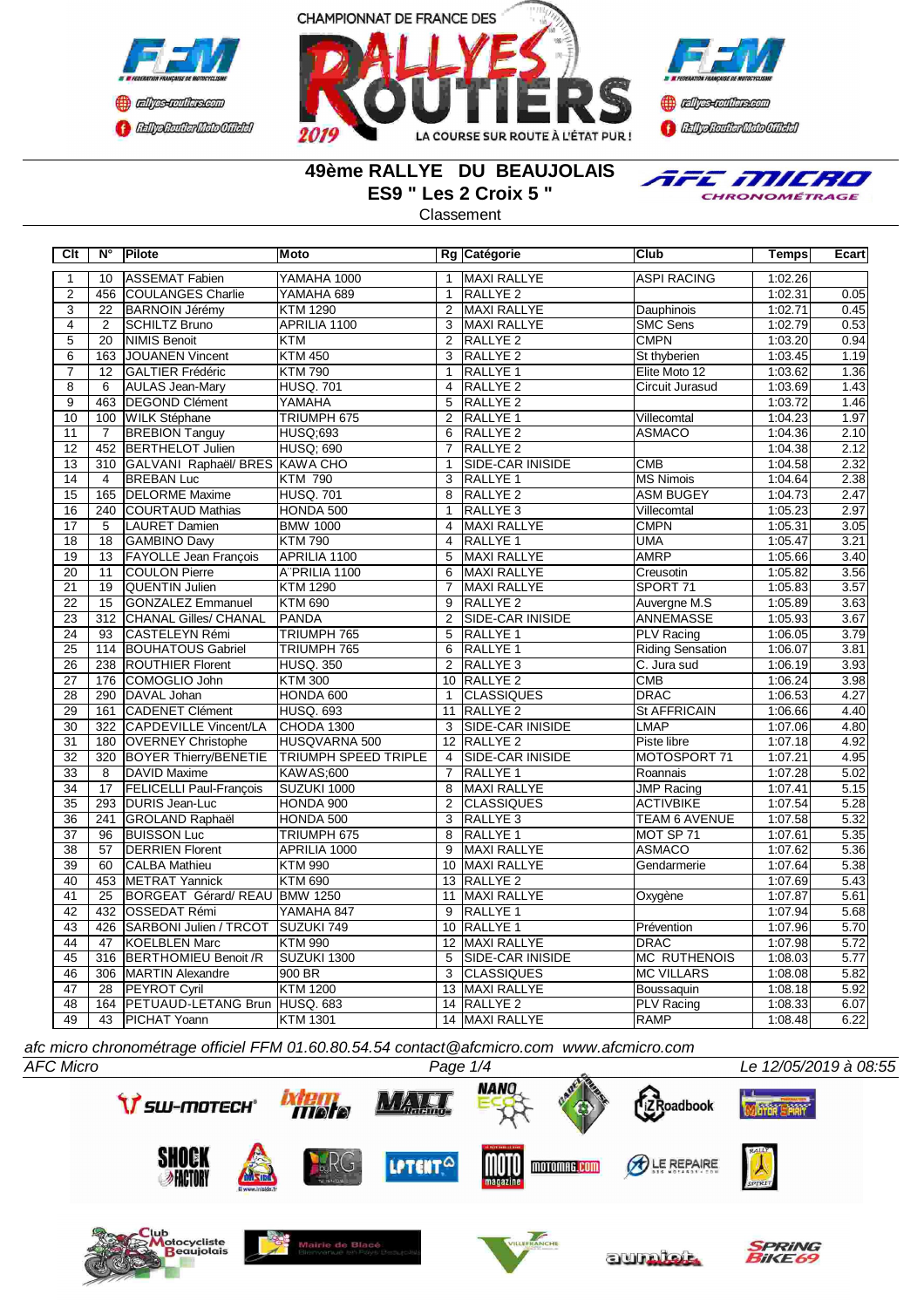





### **49ème RALLYE DU BEAUJOLAIS ES9 " Les 2 Croix 5 "**

**Classement** 



**Clt N° Pilote Moto Rg Catégorie Club Temps Ecart** 10 ASSEMAT Fabien WAMAHA 1000 1 MAXI RALLYE ASPI RACING 1:02.26 2 456 COULANGES Charlie YAMAHA 689 1 RALLYE 2 1:02.31 1:02.31 0.05 3 22 BARNOIN Jérémy KTM 1290 2 MAXI RALLYE Dauphinois 1:02.71 0.45 4 2 SCHILTZ Bruno APRILIA 1100 3 MAXI RALLYE SMC Sens 1:02.79 0.53<br>5 20 NIMIS Benoit KTM 2 RALLYE 2 CMPN 1:03.20 0.94 5 | 20 |NIMIS Benoit |KTM | 2 |RALLYE 2 | CMPN | 1:03.20| 0.94 6 163 JOUANEN Vincent KTM 450 3 RALLYE 2 St thyberien 1:03.45 1.19 7 12 GALTIER Frédéric KTM 790 1 RALLYE 1 Elite Moto 12 1:03.62 1.36 8 6 AULAS Jean-Mary HUSQ. 701 4 RALLYE 2 Circuit Jurasud 1:03.69 1.43<br>
9 463 DEGOND Clément YAMAHA 5 RALLYE 2 1:03.72 1.46 **DEGOND Clément YAMAHA**<br>WILK Stéphane TRIUMPH 675 10 100 WILK Stéphane TRIUMPH 675 2 RALLYE 1 Villecomtal 1:04.23 1.97<br>11 7 BREBION Tanguy HUSQ;693 6 RALLYE 2 ASMACO 1:04.36 2.10 11 7 BREBION Tanguy 12 452 BERTHELOT Julien HUSQ; 690 7 RALLYE 2 1:04.38 2.12<br>13 310 GALVANI Raphaël/ BRES KAWA CHO 1 SIDE-CAR INISIDE CMB 1:04.58 2.32 13 310 GALVANI Raphaël/ BRES KAWA CHO 14 4 BREBAN Luc KTM 790 3 RALLYE 1 MS Nimois 1:04.64 2.38 15 165 DELORME Maxime HUSQ. 701 8 RALLYE 2 ASM BUGEY 1:04.73 2.47<br>16 240 COURTAUD Mathias HONDA 500 1 RALLYE 3 Villecomtal 1:05.23 2.97 16 240 COURTAUD Mathias HONDA 500 1 RALLYE 3 Villecomtal 1:05.23 2.97<br>17 5 ILAURET Damien BMW 1000 4 MAXI RALLYE CMPN 1:05.31 3.05 17 | 5 |LAURET Damien |BMW 1000 | 4 |MAXI RALLYE | CMPN | 1:05.31| 3.05 18 18 GAMBINO Davy KTM 790 4 RALLYE 1 UMA 1:05.47 3.21 3.21 19 13 FAYOLLE Jean François APRILIA 1100 5 MAXI RALLYE AMRP 1:05.66 3.40<br>19 11 COULON Pierre A PRILIA 1100 6 MAXI RALLYE Creusotin 1:05.82 3.56 20 | 11 |COULON Pierre |A¨PRILIA 1100 | 6 |MAXI RALLYE | Creusotin 1:05.82| 3.56 21 | 19 |QUENTIN Julien |KTM 1290 | 7 |MAXI RALLYE | SPORT 71 1:05.83| 3.57 22 15 GONZALEZ Emmanuel KTM 690 9 RALLYE 2 Auvergne M.S 1:05.89 3.63 23 312 CHANAL Gilles/ CHANAL PANDA 2 SIDE-CAR INISIDE ANNEMASSE 1:05.93 3.67<br>24 93 CASTELEYN Rémi TRIUMPH 765 5 RALLYE 1 PLV Racing 1:06.05 3.79 24 93 CASTELEYN Rémi TRIUMPH 765 5 RALLYE 1 PLV Racing 1:06.05 25 114 BOUHATOUS Gabriel TRIUMPH 765 6 RALLYE 1 Riding Sensation 1:06.07 3.81<br>26 238 ROUTHIER Florent HUSQ. 350 2 RALLYE 3 C. Jura sud 1:06.19 3.93 238 ROUTHIER Florent HUSQ. 350 2 RALLYE 3 C. Jura sud 1:06.19 27 176 COMOGLIO John KTM 300 10 RALLYE 2 CMB 1:06.24 3.98<br>28 290 DAVAL Johan HONDA 600 1 CLASSIQUES DRAC 1:06.53 4.27 28 290 DAVAL Johan HONDA 600 1 CLASSIQUES DRAC 1:06.53 4.27 29 161 CADENET Clément HUSQ. 693 11 RALLYE 2 St AFFRICAIN 1:06.66 4.40<br>30 322 CAPDEVILLE Vincent/LA CHODA 1300 3 SIDE-CAR INISIDE LIMAP 1:07.06 4.80 30 322 CAPDEVILLE Vincent/LA CHODA 1300 3 SIDE-CAR INISIDE LMAP 1:07.06 31 180 OVERNEY Christophe HUSQVARNA 500 12 RALLYE 2 Piste libre 1:07.18 4.92 32 320 BOYER Thierry/BENETIE TRIUMPH SPEED TRIPLE 4 SIDE-CAR INISIDE MOTOSPORT 71 1:07.21 4.95<br>32 32 B DAVID Maxime KAWAS;600 7 RALLYE 1 ROannais 1:07.28 5.02 33 | 8 |DAVID Maxime |KAWAS;600 | 7 |RALLYE 1 Roannais 1:07.28 5.02 34 17 FELICELLI Paul-François SUZUKI 1000 8 MAXI RALLYE JMP Racing 1:07.41 5.15 35 293 DURIS Jean-Luc HONDA 900 2 CLASSIQUES ACTIVBIKE 1:07.54 5.28 36 241 GROLAND Raphaël HONDA 500 3 RALLYE 3 TEAM 6 AVENUE 1:07.58 5.32 37 | 96 |BUISSON Luc |TRIUMPH 675 | 8 |RALLYE 1 MOT SP 71 1:07.61| 5.35 38 57 DERRIEN Florent APRILIA 1000 9 MAXI RALLYE ASMACO 1:07.62 5.36 39 60 CALBA Mathieu KTM 990 10 MAXI RALLYE Gendarmerie 1:07.64 5.38 40 453 METRAT Yannick KTM 690 13 RALLYE 2 1:07.69 5.433 METRAT Yannick KTM 690 41 25 BORGEAT Gérard/ REAU BMW 1250 11 MAXI RALLYE Oxygène 1:07.87 5.61 42 432 OSSEDAT Rémi YAMAHA 847 9 RALLYE 1 1:07.94 5.68 43 426 SARBONI Julien / TRCOT SUZUKI 749 10 RALLYE 1 Prévention 1:07.96 5.70<br>44 47 KOELBLEN Marc KTM 990 12 MAXI RALLYE DRAC 1:07.98 5.72 44 47 KOELBLEN Marc KTM 990 12 MAXI RALLYE DRAC 1:07.98 5.72 45 316 BERTHOMIEU Benoit /R SUZUKI 1300 5 SIDE-CAR INISIDE MC RUTHENOIS 1:08.03 5.77<br>46 306 MARTIN Alexandre 900 BR 3 CLASSIQUES MC VILLARS 1:08.08 5.82 46 306 MARTIN Alexandre 12 128 PEYROT Cyril KTM 1200 13 MAXI RALLYE Boussaquin 1:08.18 5.92<br>14 MACI 164 PETUAUD-LETANG Brun HUSQ 683 14 RALLYE 2 PLV Racing 1:08.33 6.07 48 164 PETUAUD-LETANG Brun HUSQ. 683 14 RALLYE 2 PLV Racing 1:08.33 6.07 49 43 PICHAT Yoann KTM 1301 14 MAXI RALLYE RAMP 1:08.48 6.22

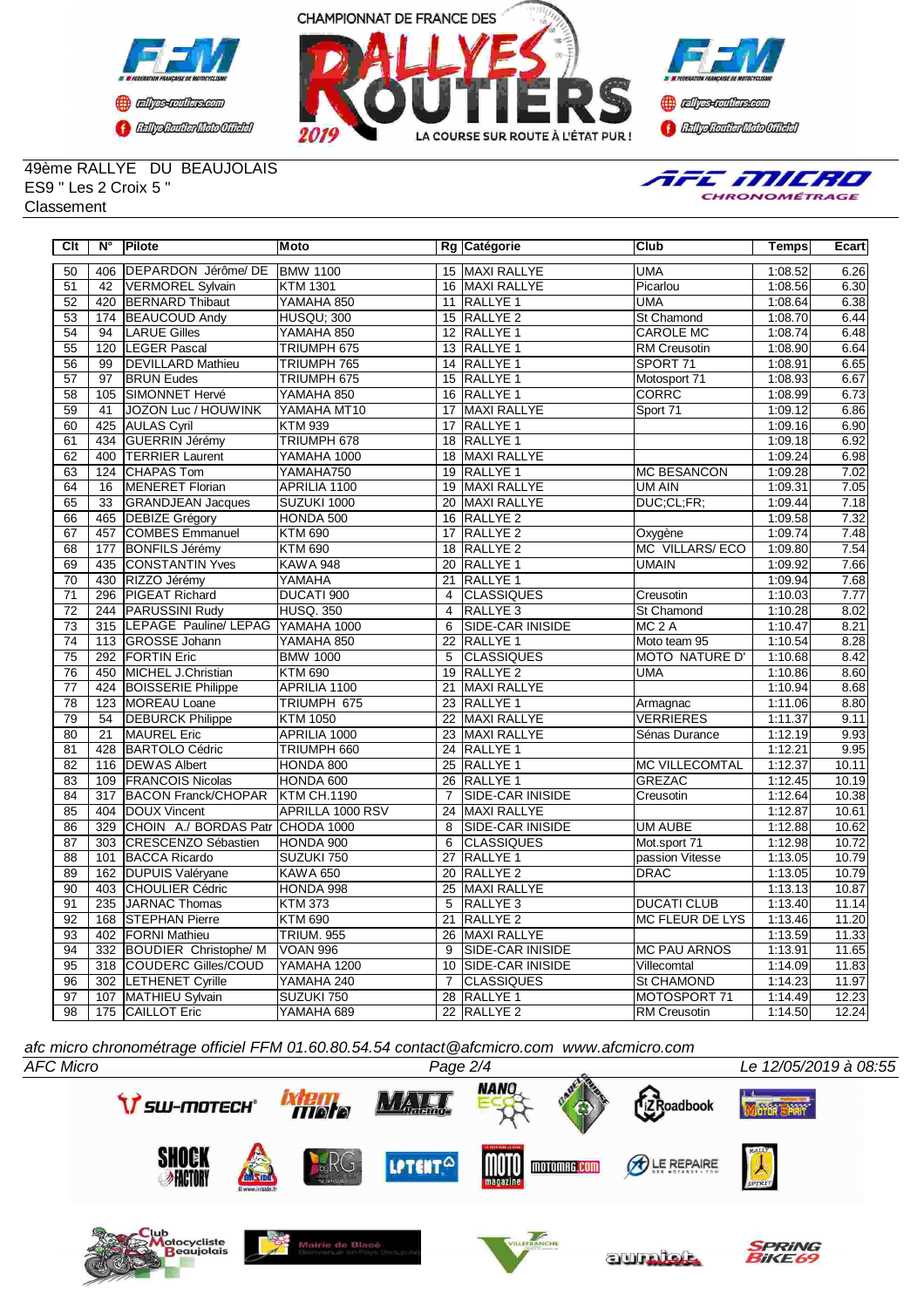





49ème RALLYE DU BEAUJOLAIS ES9 " Les 2 Croix 5 " **Classement** 



| Clt             | $N^{\circ}$      | <b>Pilote</b>                    | Moto              |                 | Rg Catégorie            | Club                  | <b>Temps</b> | Ecart |
|-----------------|------------------|----------------------------------|-------------------|-----------------|-------------------------|-----------------------|--------------|-------|
| 50              | 406              | DEPARDON Jérôme/ DE              | <b>BMW 1100</b>   |                 | 15 MAXI RALLYE          | <b>UMA</b>            | 1:08.52      | 6.26  |
| 51              | 42               | <b>VERMOREL Sylvain</b>          | <b>KTM 1301</b>   |                 | 16 MAXI RALLYE          | Picarlou              | 1:08.56      | 6.30  |
| 52              | 420              | <b>BERNARD Thibaut</b>           | YAMAHA 850        | 11              | RALLYE 1                | <b>UMA</b>            | 1:08.64      | 6.38  |
| 53              | 174              | <b>BEAUCOUD Andy</b>             | <b>HUSQU: 300</b> |                 | 15 RALLYE 2             | St Chamond            | 1:08.70      | 6.44  |
| $\overline{54}$ | $\overline{94}$  | <b>LARUE Gilles</b>              | YAMAHA 850        | 12              | <b>RALLYE 1</b>         | <b>CAROLE MC</b>      | 1:08.74      | 6.48  |
| 55              | 120              | <b>LEGER Pascal</b>              | TRIUMPH 675       |                 | 13 RALLYE 1             | <b>RM Creusotin</b>   | 1:08.90      | 6.64  |
| 56              | 99               | <b>DEVILLARD Mathieu</b>         | TRIUMPH 765       | 14              | <b>RALLYE 1</b>         | SPORT 71              | 1:08.91      | 6.65  |
| 57              | 97               | <b>BRUN Eudes</b>                | TRIUMPH 675       |                 | 15 RALLYE 1             | Motosport 71          | 1:08.93      | 6.67  |
| 58              | 105              | SIMONNET Hervé                   | YAMAHA 850        | $\overline{16}$ | <b>RALLYE 1</b>         | <b>CORRC</b>          | 1:08.99      | 6.73  |
| 59              | 41               | <b>JOZON Luc / HOUWINK</b>       | YAMAHA MT10       | 17              | <b>MAXI RALLYE</b>      | Sport 71              | 1:09.12      | 6.86  |
| 60              | 425              | <b>AULAS Cyril</b>               | <b>KTM 939</b>    | $\overline{17}$ | <b>RALLYE 1</b>         |                       | 1:09.16      | 6.90  |
| 61              | 434              | GUERRIN Jérémy                   | TRIUMPH 678       | 18              | <b>RALLYE 1</b>         |                       | 1:09.18      | 6.92  |
| 62              | 400              | <b>TERRIER Laurent</b>           | YAMAHA 1000       | 18              | MAXI RALLYE             |                       | 1:09.24      | 6.98  |
| 63              | 124              | <b>CHAPAS Tom</b>                | YAMAHA750         |                 | 19 RALLYE 1             | <b>MC BESANCON</b>    | 1:09.28      | 7.02  |
| 64              | 16               | <b>MENERET Florian</b>           | APRILIA 1100      |                 | 19 MAXI RALLYE          | <b>UM AIN</b>         | 1:09.31      | 7.05  |
| 65              | 33               | <b>GRANDJEAN Jacques</b>         | SUZUKI 1000       | 20              | MAXI RALLYE             | DUC:CL:FR:            | 1:09.44      | 7.18  |
| 66              | 465              | <b>DEBIZE Grégory</b>            | HONDA 500         | 16              | <b>RALLYE 2</b>         |                       | 1:09.58      | 7.32  |
| 67              | 457              | COMBES Emmanuel                  | <b>KTM 690</b>    | 17              | <b>RALLYE 2</b>         | Oxygène               | 1:09.74      | 7.48  |
| 68              | 177              | <b>BONFILS Jérémy</b>            | <b>KTM 690</b>    | $\overline{18}$ | <b>RALLYE 2</b>         | <b>MC VILLARS/ECO</b> | 1:09.80      | 7.54  |
| 69              | 435              | <b>CONSTANTIN Yves</b>           | <b>KAWA 948</b>   | 20              | <b>RALLYE 1</b>         | <b>UMAIN</b>          | 1:09.92      | 7.66  |
| $\overline{70}$ | 430              | RIZZO Jérémy                     | YAMAHA            | 21              | <b>RALLYE 1</b>         |                       | 1:09.94      | 7.68  |
| $\overline{71}$ | 296              | <b>PIGEAT Richard</b>            | <b>DUCATI 900</b> | $\overline{4}$  | <b>CLASSIQUES</b>       | Creusotin             | 1:10.03      | 7.77  |
| $\overline{72}$ |                  | 244 PARUSSINI Rudy               | <b>HUSQ. 350</b>  | $\overline{4}$  | <b>RALLYE3</b>          | <b>St Chamond</b>     | 1:10.28      | 8.02  |
| 73              | 315              | LEPAGE Pauline/ LEPAG            | YAMAHA 1000       | 6               | <b>SIDE-CAR INISIDE</b> | $MC2$ A               | 1:10.47      | 8.21  |
| $\overline{74}$ | 113              | <b>GROSSE Johann</b>             | YAMAHA 850        | 22              | RALLYE <sub>1</sub>     | Moto team 95          | 1:10.54      | 8.28  |
| $\overline{75}$ | 292              | <b>FORTIN Eric</b>               | <b>BMW 1000</b>   | 5               | <b>CLASSIQUES</b>       | <b>MOTO NATURE D'</b> | 1:10.68      | 8.42  |
| 76              | 450              | MICHEL J.Christian               | <b>KTM 690</b>    | 19              | RALLYE <sub>2</sub>     | <b>UMA</b>            | 1:10.86      | 8.60  |
| 77              | 424              | <b>BOISSERIE Philippe</b>        | APRILIA 1100      | 21              | MAXI RALLYE             |                       | 1:10.94      | 8.68  |
| $\overline{78}$ | 123              | MOREAU Loane                     | TRIUMPH 675       |                 | 23 RALLYE 1             | Armagnac              | 1:11.06      | 8.80  |
| 79              | 54               | <b>DEBURCK Philippe</b>          | <b>KTM 1050</b>   | $\overline{22}$ | <b>MAXI RALLYE</b>      | <b>VERRIERES</b>      | 1:11.37      | 9.11  |
| 80              | $\overline{21}$  | <b>MAUREL Eric</b>               | APRILIA 1000      | 23              | MAXI RALLYE             | Sénas Durance         | 1:12.19      | 9.93  |
| 81              | 428              | <b>BARTOLO Cédric</b>            | TRIUMPH 660       | 24              | RALLYE 1                |                       | 1:12.21      | 9.95  |
| 82              | 116              | <b>IDEWAS Albert</b>             | HONDA 800         | 25              | <b>RALLYE 1</b>         | <b>MC VILLECOMTAL</b> | 1:12.37      | 10.11 |
| 83              | 109              | <b>FRANCOIS Nicolas</b>          | HONDA 600         | 26              | <b>RALLYE 1</b>         | <b>GREZAC</b>         | 1:12.45      | 10.19 |
| 84              | $\overline{317}$ | <b>BACON Franck/CHOPAR</b>       | KTM CH.1190       | $\overline{7}$  | <b>SIDE-CAR INISIDE</b> | Creusotin             | 1:12.64      | 10.38 |
| 85              | 404              | DOUX Vincent                     | APRILLA 1000 RSV  | 24              | <b>MAXI RALLYE</b>      |                       | 1:12.87      | 10.61 |
| 86              | 329              | CHOIN A./ BORDAS Patr CHODA 1000 |                   | 8               | <b>SIDE-CAR INISIDE</b> | <b>UM AUBE</b>        | 1:12.88      | 10.62 |
| 87              | 303              | CRESCENZO Sébastien              | HONDA 900         | 6               | <b>CLASSIQUES</b>       | Mot.sport 71          | 1:12.98      | 10.72 |
| 88              | 101              | <b>BACCA Ricardo</b>             | SUZUKI 750        | $\overline{27}$ | <b>RALLYE 1</b>         | passion Vitesse       | 1:13.05      | 10.79 |
| 89              | 162              | <b>DUPUIS Valéryane</b>          | <b>KAWA 650</b>   | 20              | RALLYE <sub>2</sub>     | <b>DRAC</b>           | 1:13.05      | 10.79 |
| 90              | 403              | <b>CHOULIER Cédric</b>           | HONDA 998         | 25              | <b>MAXI RALLYE</b>      |                       | 1:13.13      | 10.87 |
| 91              | 235              | JARNAC Thomas                    | <b>KTM 373</b>    | 5               | RALLYE <sub>3</sub>     | <b>DUCATI CLUB</b>    | 1:13.40      | 11.14 |
| 92              | 168              | <b>STEPHAN Pierre</b>            | <b>KTM 690</b>    | 21              | RALLYE <sub>2</sub>     | MC FLEUR DE LYS       | 1:13.46      | 11.20 |
| 93              | 402              | <b>FORNI Mathieu</b>             | <b>TRIUM. 955</b> | 26              | MAXI RALLYE             |                       | 1:13.59      | 11.33 |
| 94              |                  | 332 BOUDIER Christophe/ M        | <b>VOAN 996</b>   | 9               | <b>SIDE-CAR INISIDE</b> | <b>MC PAU ARNOS</b>   | 1:13.91      | 11.65 |
| 95              |                  | 318 COUDERC Gilles/COUD          | YAMAHA 1200       | 10              | SIDE-CAR INISIDE        | Villecomtal           | 1:14.09      | 11.83 |
| 96              | 302              | <b>LETHENET Cyrille</b>          | YAMAHA 240        | $\overline{7}$  | <b>CLASSIQUES</b>       | St CHAMOND            | 1:14.23      | 11.97 |
| 97              | 107              | MATHIEU Sylvain                  | SUZUKI 750        | 28              | RALLYE 1                | MOTOSPORT 71          | 1:14.49      | 12.23 |
| 98              |                  | 175 CAILLOT Eric                 | YAMAHA 689        |                 | 22 RALLYE 2             | <b>RM Creusotin</b>   | 1:14.50      | 12.24 |

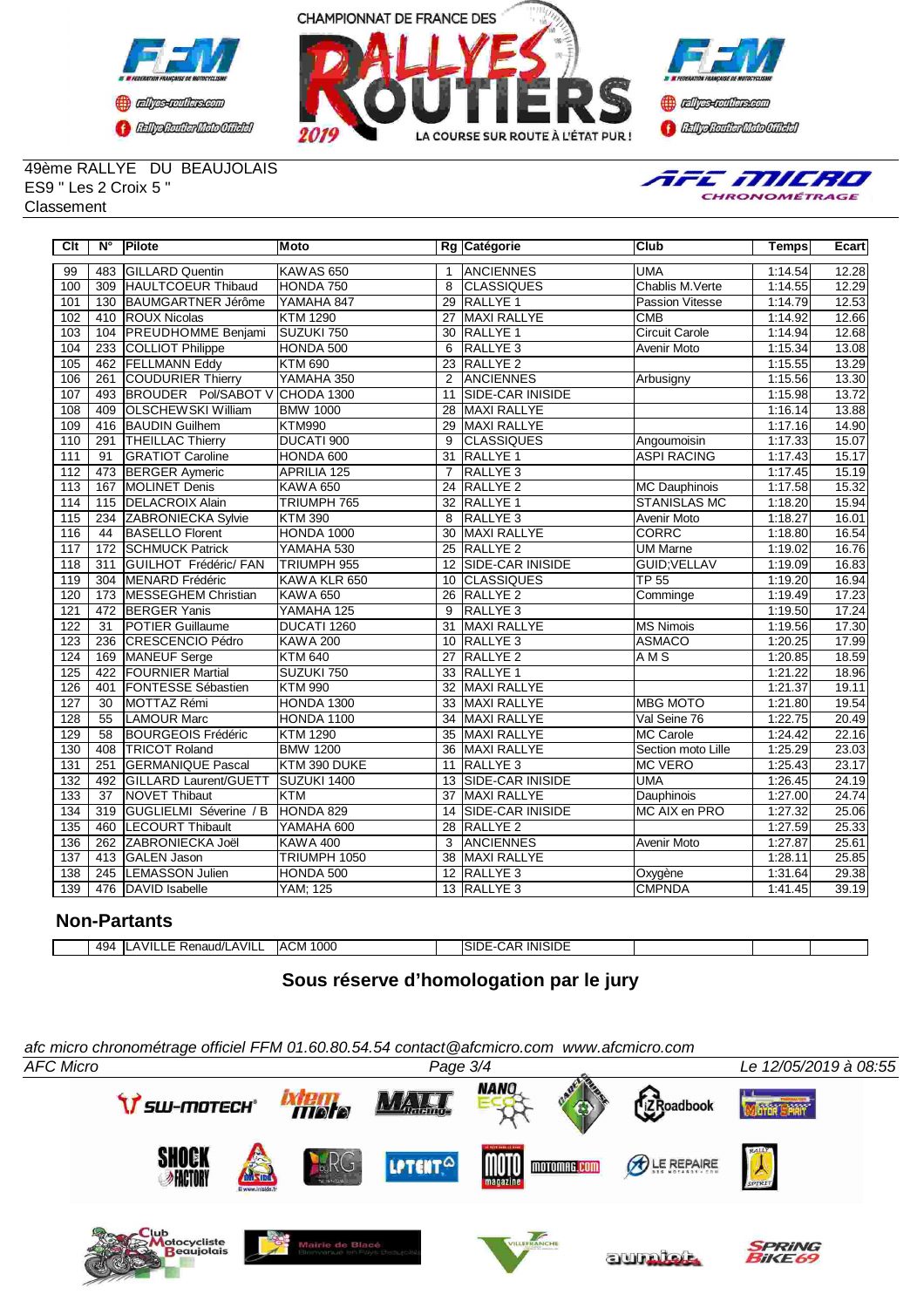





49ème RALLYE DU BEAUJOLAIS ES9 " Les 2 Croix 5 " Classement



| Clt              | N°              | Pilote                       | <b>Moto</b>          |                   | Rg Catégorie            | Club                   | <b>Temps</b> | <b>Ecart</b> |
|------------------|-----------------|------------------------------|----------------------|-------------------|-------------------------|------------------------|--------------|--------------|
| 99               | 483             | <b>GILLARD Quentin</b>       | KAWAS <sub>650</sub> | $\mathbf{1}$      | <b>ANCIENNES</b>        | <b>UMA</b>             | 1:14.54      | 12.28        |
| 100              | 309             | <b>HAULTCOEUR Thibaud</b>    | HONDA 750            | 8                 | <b>CLASSIQUES</b>       | Chablis M. Verte       | 1:14.55      | 12.29        |
| 101              | 130             | <b>BAUMGARTNER Jérôme</b>    | YAMAHA 847           | 29                | <b>RALLYE 1</b>         | <b>Passion Vitesse</b> | 1:14.79      | 12.53        |
| 102              | 410             | <b>ROUX Nicolas</b>          | <b>KTM 1290</b>      | 27                | <b>MAXI RALLYE</b>      | CMB                    | 1:14.92      | 12.66        |
| 103              | 104             | <b>PREUDHOMME Benjami</b>    | SUZUKI 750           | 30                | <b>RALLYE 1</b>         | <b>Circuit Carole</b>  | 1:14.94      | 12.68        |
| 104              | 233             | <b>COLLIOT Philippe</b>      | HONDA 500            | 6                 | RALLYE <sub>3</sub>     | Avenir Moto            | 1:15.34      | 13.08        |
| 105              | 462             | <b>FELLMANN Eddy</b>         | <b>KTM 690</b>       | $\overline{23}$   | <b>RALLYE 2</b>         |                        | 1:15.55      | 13.29        |
| 106              | 261             | COUDURIER Thierry            | YAMAHA 350           | $\overline{2}$    | ANCIENNES               | Arbusigny              | 1:15.56      | 13.30        |
| 107              | 493             | <b>BROUDER Pol/SABOT V</b>   | CHODA 1300           | 11                | <b>SIDE-CAR INISIDE</b> |                        | 1:15.98      | 13.72        |
| 108              | 409             | <b>OLSCHEWSKI William</b>    | <b>BMW 1000</b>      | 28                | <b>MAXI RALLYE</b>      |                        | 1:16.14      | 13.88        |
| 109              | 416             | <b>BAUDIN Guilhem</b>        | <b>KTM990</b>        | $\overline{29}$   | <b>MAXI RALLYE</b>      |                        | 1:17.16      | 14.90        |
| 110              | 291             | <b>THEILLAC Thierry</b>      | DUCATI 900           | 9                 | <b>CLASSIQUES</b>       | Angoumoisin            | 1:17.33      | 15.07        |
| 111              | $\overline{91}$ | <b>GRATIOT Caroline</b>      | HONDA 600            | $\overline{31}$   | RALLYE <sub>1</sub>     | <b>ASPI RACING</b>     | 1:17.43      | 15.17        |
| 112              | 473             | <b>BERGER Aymeric</b>        | <b>APRILIA 125</b>   | $\overline{7}$    | RALLYE <sub>3</sub>     |                        | 1:17.45      | 15.19        |
| $\overline{113}$ | 167             | <b>MOLINET Denis</b>         | <b>KAWA 650</b>      | 24                | <b>RALLYE 2</b>         | <b>MC Dauphinois</b>   | 1:17.58      | 15.32        |
| 114              | 115             | <b>IDELACROIX Alain</b>      | TRIUMPH 765          | $\overline{32}$   | RALLYE <sub>1</sub>     | <b>STANISLAS MC</b>    | 1:18.20      | 15.94        |
| 115              | 234             | ZABRONIECKA Sylvie           | <b>KTM 390</b>       | 8                 | <b>RALLYE 3</b>         | <b>Avenir Moto</b>     | 1:18.27      | 16.01        |
| 116              | 44              | <b>BASELLO Florent</b>       | HONDA 1000           | 30                | <b>MAXI RALLYE</b>      | <b>CORRC</b>           | 1:18.80      | 16.54        |
| 117              | 172             | <b>SCHMUCK Patrick</b>       | YAMAHA 530           | 25                | <b>RALLYE 2</b>         | <b>UM Marne</b>        | 1:19.02      | 16.76        |
| 118              | 311             | <b>GUILHOT Frédéric/ FAN</b> | TRIUMPH 955          |                   | 12 SIDE-CAR INISIDE     | <b>GUID:VELLAV</b>     | 1:19.09      | 16.83        |
| 119              | 304             | MENARD Frédéric              | KAWA KLR 650         | 10                | CLASSIQUES              | <b>TP 55</b>           | 1:19.20      | 16.94        |
| 120              | 173             | <b>MESSEGHEM Christian</b>   | <b>KAWA 650</b>      | $\overline{26}$   | <b>RALLYE 2</b>         | Comminge               | 1:19.49      | 17.23        |
| 121              | 472             | <b>BERGER Yanis</b>          | YAMAHA 125           | 9                 | RALLYE <sub>3</sub>     |                        | 1:19.50      | 17.24        |
| 122              | $\overline{31}$ | <b>POTIER Guillaume</b>      | DUCATI 1260          | 31                | MAXI RALLYE             | <b>MS Nimois</b>       | 1:19.56      | 17.30        |
| 123              | 236             | <b>CRESCENCIO Pédro</b>      | <b>KAWA 200</b>      | 10 <sup>°</sup>   | RALLYE <sub>3</sub>     | <b>ASMACO</b>          | 1:20.25      | 17.99        |
| 124              | 169             | MANEUF Serge                 | <b>KTM 640</b>       | 27                | RALLYE <sub>2</sub>     | AM <sub>S</sub>        | 1:20.85      | 18.59        |
| 125              | 422             | <b>FOURNIER Martial</b>      | SUZUKI 750           | 33                | <b>RALLYE 1</b>         |                        | 1:21.22      | 18.96        |
| 126              | 401             | <b>FONTESSE Sébastien</b>    | <b>KTM 990</b>       | $\overline{32}$   | <b>MAXI RALLYE</b>      |                        | 1:21.37      | 19.11        |
| 127              | 30              | MOTTAZ Rémi                  | <b>HONDA 1300</b>    | 33                | <b>MAXI RALLYE</b>      | <b>MBG MOTO</b>        | 1:21.80      | 19.54        |
| 128              | 55              | <b>LAMOUR Marc</b>           | <b>HONDA 1100</b>    | 34                | <b>MAXI RALLYE</b>      | Val Seine 76           | 1:22.75      | 20.49        |
| 129              | 58              | <b>BOURGEOIS Frédéric</b>    | <b>KTM 1290</b>      | 35                | <b>MAXI RALLYE</b>      | <b>MC Carole</b>       | 1:24.42      | 22.16        |
| 130              | 408             | <b>TRICOT Roland</b>         | <b>BMW 1200</b>      | $\overline{36}$   | <b>MAXI RALLYE</b>      | Section moto Lille     | 1:25.29      | 23.03        |
| 131              | 251             | <b>GERMANIQUE Pascal</b>     | KTM 390 DUKE         | 11                | <b>RALLYE 3</b>         | <b>MC VERO</b>         | 1:25.43      | 23.17        |
| 132              | 492             | GILLARD Laurent/GUETT        | SUZUKI 1400          | 13                | SIDE-CAR INISIDE        | <b>UMA</b>             | 1:26.45      | 24.19        |
| 133              | $\overline{37}$ | <b>NOVET Thibaut</b>         | <b>KTM</b>           | 37                | <b>MAXI RALLYE</b>      | Dauphinois             | 1:27.00      | 24.74        |
| 134              | 319             | GUGLIELMI Séverine / B       | HONDA 829            | 14                | SIDE-CAR INISIDE        | MC AIX en PRO          | 1:27.32      | 25.06        |
| 135              | 460             | <b>LECOURT Thibault</b>      | YAMAHA 600           | $\overline{28}$   | <b>RALLYE 2</b>         |                        | 1:27.59      | 25.33        |
| 136              | 262             | ZABRONIECKA Joël             | <b>KAWA 400</b>      | 3                 | ANCIENNES               | <b>Avenir Moto</b>     | 1:27.87      | 25.61        |
| 137              | 413             | <b>GALEN Jason</b>           | TRIUMPH 1050         | 38                | <b>MAXI RALLYE</b>      |                        | 1:28.11      | 25.85        |
| 138              | 245             | <b>ILEMASSON Julien</b>      | HONDA 500            | $12 \overline{ }$ | RALLYE <sub>3</sub>     | Oxygène                | 1:31.64      | 29.38        |
| 139              | 476             | DAVID Isabelle               | YAM; 125             |                   | 13 RALLYE 3             | <b>CMPNDA</b>          | 1:41.45      | 39.19        |

## **Non-Partants**

|  |  | 494<br>−⊷ | AVILL<br>$^{\prime\prime}$<br>… iaud/⊑″ | 1000<br>⌒<br>IACM. |  | ----<br>` INISID∟<br>.<br>SID I<br>- . <b>.</b> . |  |  |  |
|--|--|-----------|-----------------------------------------|--------------------|--|---------------------------------------------------|--|--|--|
|--|--|-----------|-----------------------------------------|--------------------|--|---------------------------------------------------|--|--|--|

# **Sous réserve d'homologation par le jury**